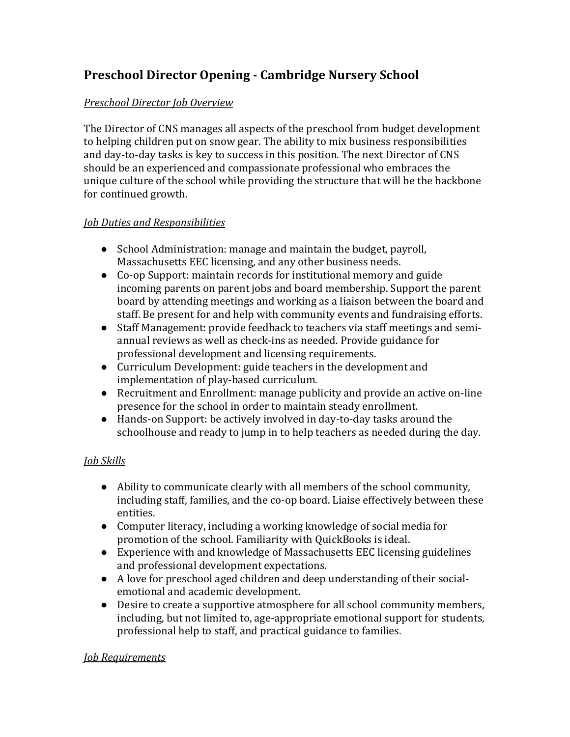# **Preschool Director Opening - Cambridge Nursery School**

## *Preschool Director Job Overview*

The Director of CNS manages all aspects of the preschool from budget development to helping children put on snow gear. The ability to mix business responsibilities and day-to-day tasks is key to success in this position. The next Director of CNS should be an experienced and compassionate professional who embraces the unique culture of the school while providing the structure that will be the backbone for continued growth.

## *Job Duties and Responsibilities*

- School Administration: manage and maintain the budget, payroll, Massachusetts EEC licensing, and any other business needs.
- Co-op Support: maintain records for institutional memory and guide incoming parents on parent jobs and board membership. Support the parent board by attending meetings and working as a liaison between the board and staff. Be present for and help with community events and fundraising efforts.
- Staff Management: provide feedback to teachers via staff meetings and semiannual reviews as well as check-ins as needed. Provide guidance for professional development and licensing requirements.
- Curriculum Development: guide teachers in the development and implementation of play-based curriculum.
- Recruitment and Enrollment: manage publicity and provide an active on-line presence for the school in order to maintain steady enrollment.
- Hands-on Support: be actively involved in day-to-day tasks around the schoolhouse and ready to jump in to help teachers as needed during the day.

# *Job Skills*

- Ability to communicate clearly with all members of the school community, including staff, families, and the co-op board. Liaise effectively between these entities.
- Computer literacy, including a working knowledge of social media for promotion of the school. Familiarity with QuickBooks is ideal.
- Experience with and knowledge of Massachusetts EEC licensing guidelines and professional development expectations.
- A love for preschool aged children and deep understanding of their socialemotional and academic development.
- Desire to create a supportive atmosphere for all school community members, including, but not limited to, age-appropriate emotional support for students, professional help to staff, and practical guidance to families.

### *Job Requirements*